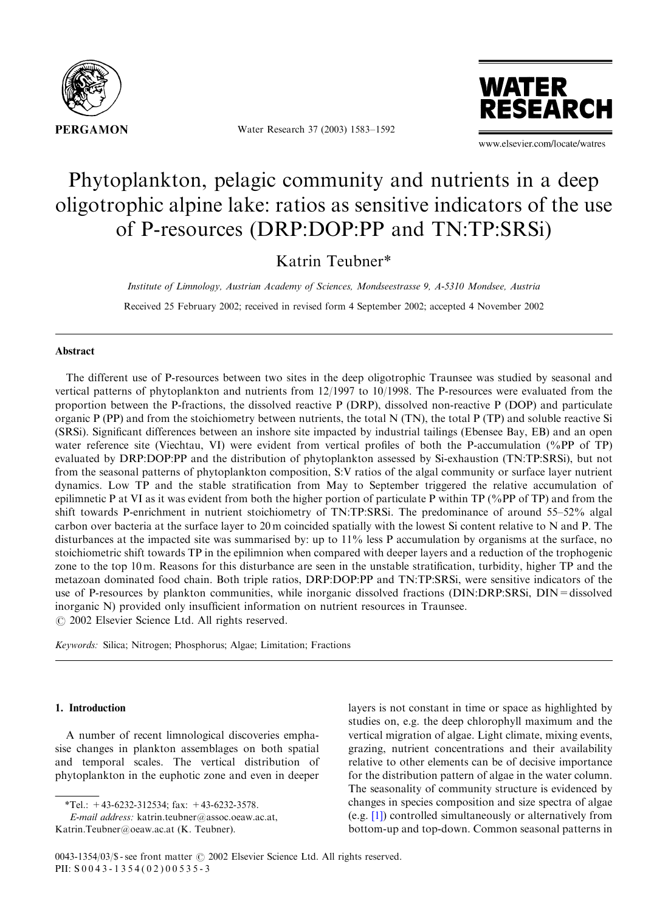

Water Research 37 (2003) 1583–1592



www.elsevier.com/locate/watres

# Phytoplankton, pelagic community and nutrients in a deep oligotrophic alpine lake: ratios as sensitive indicators of the use of P-resources (DRP:DOP:PP and TN:TP:SRSi)

Katrin Teubner\*

Institute of Limnology, Austrian Academy of Sciences, Mondseestrasse 9, A-5310 Mondsee, Austria

Received 25 February 2002; received in revised form 4 September 2002; accepted 4 November 2002

## Abstract

The different use of P-resources between two sites in the deep oligotrophic Traunsee was studied by seasonal and vertical patterns of phytoplankton and nutrients from 12/1997 to 10/1998. The P-resources were evaluated from the proportion between the P-fractions, the dissolved reactive P (DRP), dissolved non-reactive P (DOP) and particulate organic P (PP) and from the stoichiometry between nutrients, the total N (TN), the total P (TP) and soluble reactive Si (SRSi). Significant differences between an inshore site impacted by industrial tailings (Ebensee Bay, EB) and an open water reference site (Viechtau, VI) were evident from vertical profiles of both the P-accumulation (%PP of TP) evaluated by DRP:DOP:PP and the distribution of phytoplankton assessed by Si-exhaustion (TN:TP:SRSi), but not from the seasonal patterns of phytoplankton composition, S:V ratios of the algal community or surface layer nutrient dynamics. Low TP and the stable stratification from May to September triggered the relative accumulation of epilimnetic P at VI as it was evident from both the higher portion of particulate P within TP (%PP of TP) and from the shift towards P-enrichment in nutrient stoichiometry of TN:TP:SRSi. The predominance of around 55–52% algal carbon over bacteria at the surface layer to 20 m coincided spatially with the lowest Si content relative to N and P. The disturbances at the impacted site was summarised by: up to 11% less P accumulation by organisms at the surface, no stoichiometric shift towards TP in the epilimnion when compared with deeper layers and a reduction of the trophogenic zone to the top 10 m. Reasons for this disturbance are seen in the unstable stratification, turbidity, higher TP and the metazoan dominated food chain. Both triple ratios, DRP:DOP:PP and TN:TP:SRSi, were sensitive indicators of the use of P-resources by plankton communities, while inorganic dissolved fractions (DIN:DRP:SRSi, DIN=dissolved inorganic N) provided only insufficient information on nutrient resources in Traunsee.  $\odot$  2002 Elsevier Science Ltd. All rights reserved.

Keywords: Silica; Nitrogen; Phosphorus; Algae; Limitation; Fractions

## 1. Introduction

A number of recent limnological discoveries emphasise changes in plankton assemblages on both spatial and temporal scales. The vertical distribution of phytoplankton in the euphotic zone and even in deeper

layers is not constant in time or space as highlighted by studies on, e.g. the deep chlorophyll maximum and the vertical migration of algae. Light climate, mixing events, grazing, nutrient concentrations and their availability relative to other elements can be of decisive importance for the distribution pattern of algae in the water column. The seasonality of community structure is evidenced by changes in species composition and size spectra of algae (e.g. [\[1\]](#page-8-0)) controlled simultaneously or alternatively from bottom-up and top-down. Common seasonal patterns in

<sup>\*</sup>Tel.:  $+43-6232-312534$ ; fax:  $+43-6232-3578$ .

E-mail address: katrin.teubner@assoc.oeaw.ac.at, Katrin.Teubner@oeaw.ac.at (K. Teubner).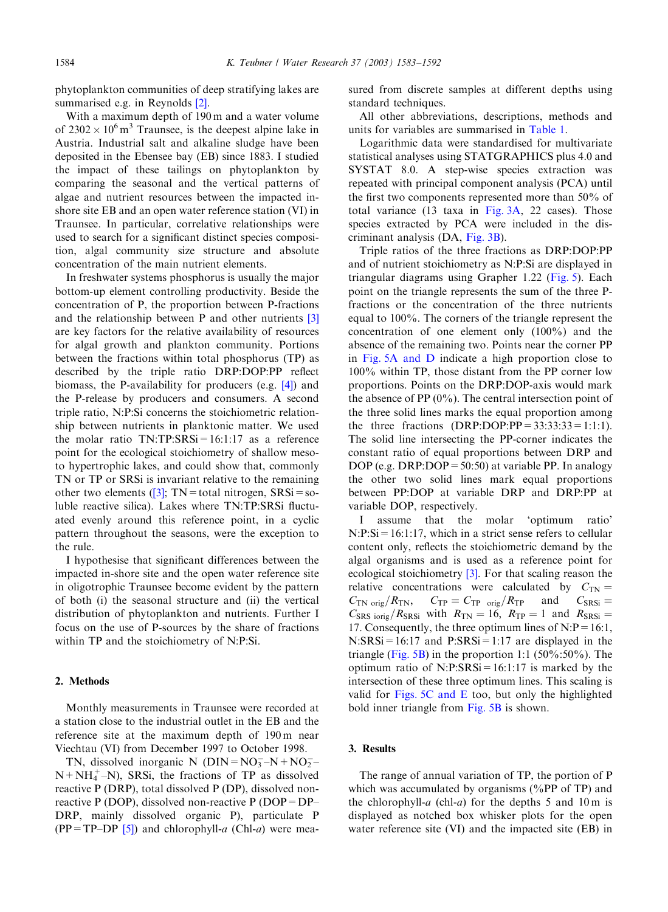phytoplankton communities of deep stratifying lakes are summarised e.g. in Reynolds [\[2\].](#page-8-0)

With a maximum depth of 190 m and a water volume of  $2302 \times 10^6$  m<sup>3</sup> Traunsee, is the deepest alpine lake in Austria. Industrial salt and alkaline sludge have been deposited in the Ebensee bay (EB) since 1883. I studied the impact of these tailings on phytoplankton by comparing the seasonal and the vertical patterns of algae and nutrient resources between the impacted inshore site EB and an open water reference station (VI) in Traunsee. In particular, correlative relationships were used to search for a significant distinct species composition, algal community size structure and absolute concentration of the main nutrient elements.

In freshwater systems phosphorus is usually the major bottom-up element controlling productivity. Beside the concentration of P, the proportion between P-fractions and the relationship between P and other nutrients [\[3\]](#page-8-0) are key factors for the relative availability of resources for algal growth and plankton community. Portions between the fractions within total phosphorus (TP) as described by the triple ratio DRP:DOP:PP reflect biomass, the P-availability for producers (e.g. [\[4\]\)](#page-8-0) and the P-release by producers and consumers. A second triple ratio, N:P:Si concerns the stoichiometric relationship between nutrients in planktonic matter. We used the molar ratio  $TN:TP:SRSi = 16:1:17$  as a reference point for the ecological stoichiometry of shallow mesoto hypertrophic lakes, and could show that, commonly TN or TP or SRSi is invariant relative to the remaining other two elements  $(3]$ ; TN=total nitrogen, SRSi=soluble reactive silica). Lakes where TN:TP:SRSi fluctuated evenly around this reference point, in a cyclic pattern throughout the seasons, were the exception to the rule.

I hypothesise that significant differences between the impacted in-shore site and the open water reference site in oligotrophic Traunsee become evident by the pattern of both (i) the seasonal structure and (ii) the vertical distribution of phytoplankton and nutrients. Further I focus on the use of P-sources by the share of fractions within TP and the stoichiometry of N:P:Si.

## 2. Methods

Monthly measurements in Traunsee were recorded at a station close to the industrial outlet in the EB and the reference site at the maximum depth of 190 m near Viechtau(VI) from December 1997 to October 1998.

TN, dissolved inorganic N  $(DIN = NO<sub>3</sub><sup>-</sup> - N + NO<sub>2</sub><sup>-</sup>$  $N + NH_4^+$ –N), SRSi, the fractions of TP as dissolved reactive P (DRP), total dissolved P (DP), dissolved nonreactive P (DOP), dissolved non-reactive P (DOP=DP– DRP, mainly dissolved organic P), particulate P  $(PP = TP - DP$  [\[5\]](#page-8-0)) and chlorophyll-a (Chl-a) were mea-

sured from discrete samples at different depths using standard techniques.

All other abbreviations, descriptions, methods and units for variables are summarised in [Table 1](#page-2-0).

Logarithmic data were standardised for multivariate statistical analyses using STATGRAPHICS plus 4.0 and SYSTAT 8.0. A step-wise species extraction was repeated with principal component analysis (PCA) until the first two components represented more than 50% of total variance (13 taxa in [Fig. 3A](#page-4-0), 22 cases). Those species extracted by PCA were included in the discriminant analysis (DA, [Fig. 3B\)](#page-4-0).

Triple ratios of the three fractions as DRP:DOP:PP and of nutrient stoichiometry as N:P:Si are displayed in triangular diagrams using Grapher 1.22 [\(Fig. 5](#page-5-0)). Each point on the triangle represents the sum of the three Pfractions or the concentration of the three nutrients equal to 100%. The corners of the triangle represent the concentration of one element only (100%) and the absence of the remaining two. Points near the corner PP in [Fig. 5A and D](#page-5-0) indicate a high proportion close to 100% within TP, those distant from the PP corner low proportions. Points on the DRP:DOP-axis would mark the absence of PP  $(0\%)$ . The central intersection point of the three solid lines marks the equal proportion among the three fractions  $(DRP:DOP:PP=33:33:33=1:1:1)$ . The solid line intersecting the PP-corner indicates the constant ratio of equal proportions between DRP and DOP (e.g. DRP:DOP = 50:50) at variable PP. In analogy the other two solid lines mark equal proportions between PP:DOP at variable DRP and DRP:PP at variable DOP, respectively.

I assume that the molar 'optimum ratio'  $N:Psi=16:1:17$ , which in a strict sense refers to cellular content only, reflects the stoichiometric demand by the algal organisms and is used as a reference point for ecological stoichiometry [\[3\]](#page-8-0). For that scaling reason the relative concentrations were calculated by  $C_{TN} =$  $C_{\text{TN} \text{ orig}}/R_{\text{TN}}$ ,  $C_{\text{TP}} = C_{\text{TP} \text{ orig}}/R_{\text{TP}}$  and  $C_{\text{SRSi}} =$  $C_{SRS\;iorig}/R_{SRSi}$  with  $R_{TN} = 16$ ,  $R_{TP} = 1$  and  $R_{SRSi} =$ 17. Consequently, the three optimum lines of  $N:P=16:1$ ,  $N:SRSi = 16:17$  and  $P:SRSi = 1:17$  are displayed in the triangle (Fig.  $5B$ ) in the proportion 1:1 (50%:50%). The optimum ratio of N:P:SRSi =  $16:1:17$  is marked by the intersection of these three optimum lines. This scaling is valid for [Figs. 5C and E](#page-5-0) too, but only the highlighted bold inner triangle from [Fig. 5B](#page-5-0) is shown.

## 3. Results

The range of annual variation of TP, the portion of P which was accumulated by organisms (%PP of TP) and the chlorophyll-a (chl-a) for the depths 5 and 10 m is displayed as notched box whisker plots for the open water reference site (VI) and the impacted site (EB) in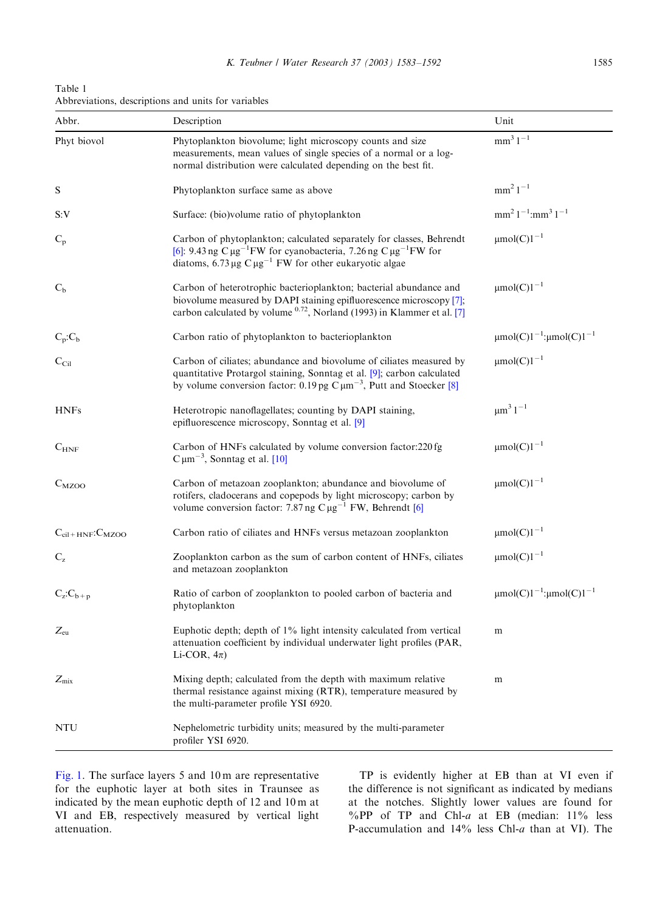<span id="page-2-0"></span>Table 1 Abbreviations, descriptions and units for variables

| Abbr.                                    | Description                                                                                                                                                                                                                                              | Unit                                                      |
|------------------------------------------|----------------------------------------------------------------------------------------------------------------------------------------------------------------------------------------------------------------------------------------------------------|-----------------------------------------------------------|
| Phyt biovol                              | Phytoplankton biovolume; light microscopy counts and size<br>measurements, mean values of single species of a normal or a log-<br>normal distribution were calculated depending on the best fit.                                                         | $mm31-1$                                                  |
| S                                        | Phytoplankton surface same as above                                                                                                                                                                                                                      | $mm21-1$                                                  |
| S:V                                      | Surface: (bio) volume ratio of phytoplankton                                                                                                                                                                                                             | $mm21-1$ : $mm31-1$                                       |
| $C_{p}$                                  | Carbon of phytoplankton; calculated separately for classes, Behrendt<br>[6]: 9.43 ng C $\mu$ g <sup>-1</sup> FW for cyanobacteria, 7.26 ng C $\mu$ g <sup>-1</sup> FW for<br>diatoms, 6.73 $\mu$ g C $\mu$ g <sup>-1</sup> FW for other eukaryotic algae | $\mu$ mol(C) $1^{-1}$                                     |
| $C_{b}$                                  | Carbon of heterotrophic bacterioplankton; bacterial abundance and<br>biovolume measured by DAPI staining epifluorescence microscopy [7];<br>carbon calculated by volume $0.72$ , Norland (1993) in Klammer et al. [7]                                    | $\mu$ mol(C) $1^{-1}$                                     |
| $C_p:C_b$                                | Carbon ratio of phytoplankton to bacterioplankton                                                                                                                                                                                                        | $\mu$ mol(C)1 <sup>-1</sup> : $\mu$ mol(C)1 <sup>-1</sup> |
| $C_{\text{Cil}}$                         | Carbon of ciliates; abundance and biovolume of ciliates measured by<br>quantitative Protargol staining, Sonntag et al. [9]; carbon calculated<br>by volume conversion factor: $0.19 \text{ pg C} \mu\text{m}^{-3}$ , Putt and Stoecker [8]               | $\mu$ mol(C) $1^{-1}$                                     |
| <b>HNFs</b>                              | Heterotropic nanoflagellates; counting by DAPI staining,<br>epifluorescence microscopy, Sonntag et al. [9]                                                                                                                                               | $\mu$ m <sup>3</sup> 1 <sup>-1</sup>                      |
| $C_{HNF}$                                | Carbon of HNFs calculated by volume conversion factor:220 fg<br>$C \mu m^{-3}$ , Sonntag et al. [10]                                                                                                                                                     | $\mu$ mol(C) $1^{-1}$                                     |
| $C_{\rm MZOO}$                           | Carbon of metazoan zooplankton; abundance and biovolume of<br>rotifers, cladocerans and copepods by light microscopy; carbon by<br>volume conversion factor: $7.87$ ng C <sub>Hg</sub> <sup>-1</sup> FW, Behrendt [6]                                    | $\mu$ mol(C) $1^{-1}$                                     |
| $C_{\text{cil}+HNF}$ : $C_{\text{MZOO}}$ | Carbon ratio of ciliates and HNFs versus metazoan zooplankton                                                                                                                                                                                            | $\mu$ mol $(C)1^{-1}$                                     |
| $C_{z}$                                  | Zooplankton carbon as the sum of carbon content of HNFs, ciliates<br>and metazoan zooplankton                                                                                                                                                            | $\mu$ mol(C) $1^{-1}$                                     |
| $C_z:C_{b+p}$                            | Ratio of carbon of zooplankton to pooled carbon of bacteria and<br>phytoplankton                                                                                                                                                                         | $\mu$ mol(C)1 <sup>-1</sup> : $\mu$ mol(C)1 <sup>-1</sup> |
| $Z_{\rm eu}$                             | Euphotic depth; depth of 1% light intensity calculated from vertical<br>attenuation coefficient by individual underwater light profiles (PAR,<br>Li-COR, $4\pi$ )                                                                                        | m                                                         |
| $Z_{\rm mix}$                            | Mixing depth; calculated from the depth with maximum relative<br>thermal resistance against mixing (RTR), temperature measured by<br>the multi-parameter profile YSI 6920.                                                                               | m                                                         |
| <b>NTU</b>                               | Nephelometric turbidity units; measured by the multi-parameter<br>profiler YSI 6920.                                                                                                                                                                     |                                                           |

[Fig. 1.](#page-3-0) The surface layers 5 and 10 m are representative for the euphotic layer at both sites in Traunsee as indicated by the mean euphotic depth of 12 and 10 m at VI and EB, respectively measured by vertical light attenuation.

TP is evidently higher at EB than at VI even if the difference is not significant as indicated by medians at the notches. Slightly lower values are found for  $\%$ PP of TP and Chl-a at EB (median:  $11\%$  less P-accumulation and 14% less Chl-a than at VI). The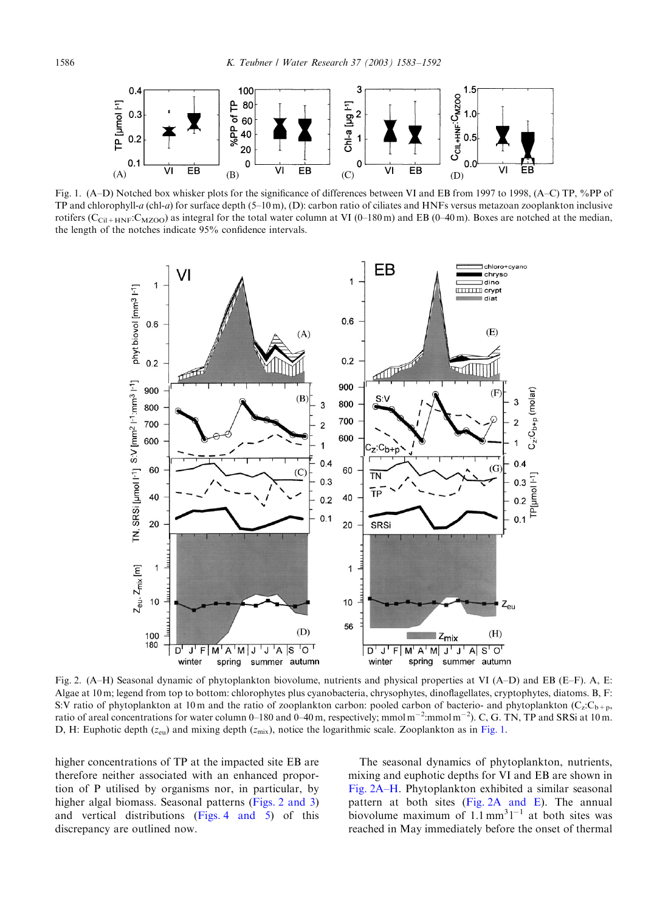<span id="page-3-0"></span>

Fig. 1. (A–D) Notched box whisker plots for the significance of differences between VI and EB from 1997 to 1998, (A–C) TP, %PP of TP and chlorophyll-a (chl-a) for surface depth (5–10 m), (D): carbon ratio of ciliates and HNFs versus metazoan zooplankton inclusive rotifers ( $C_{\text{Cil+HNF}}$ : $C_{\text{MZOO}}$ ) as integral for the total water column at VI (0–180 m) and EB (0–40 m). Boxes are notched at the median, the length of the notches indicate 95% confidence intervals.



Fig. 2. (A–H) Seasonal dynamic of phytoplankton biovolume, nutrients and physical properties at VI (A–D) and EB (E–F). A, E: Algae at 10 m; legend from top to bottom: chlorophytes plus cyanobacteria, chrysophytes, dinoflagellates, cryptophytes, diatoms. B, F: S:V ratio of phytoplankton at 10 m and the ratio of zooplankton carbon: pooled carbon of bacterio- and phytoplankton  $(C_z:C_{b+n}$ ratio of areal concentrations for water column 0–180 and 0–40 m, respectively; mmol m<sup>-2</sup>:mmol m<sup>-2</sup>). C, G. TN, TP and SRSi at 10 m. D, H: Euphotic depth ( $z_{\text{eu}}$ ) and mixing depth ( $z_{\text{mix}}$ ), notice the logarithmic scale. Zooplankton as in Fig. 1.

higher concentrations of TP at the impacted site EB are therefore neither associated with an enhanced proportion of P utilised by organisms nor, in particular, by higher algal biomass. Seasonal patterns (Figs. 2 and 3) and vertical distributions [\(Figs. 4 and 5](#page-4-0)) of this discrepancy are outlined now.

The seasonal dynamics of phytoplankton, nutrients, mixing and euphotic depths for VI and EB are shown in Fig. 2A–H. Phytoplankton exhibited a similar seasonal pattern at both sites (Fig. 2A and E). The annual biovolume maximum of  $1.1 \text{ mm}^3 \text{1}^{-1}$  at both sites was reached in May immediately before the onset of thermal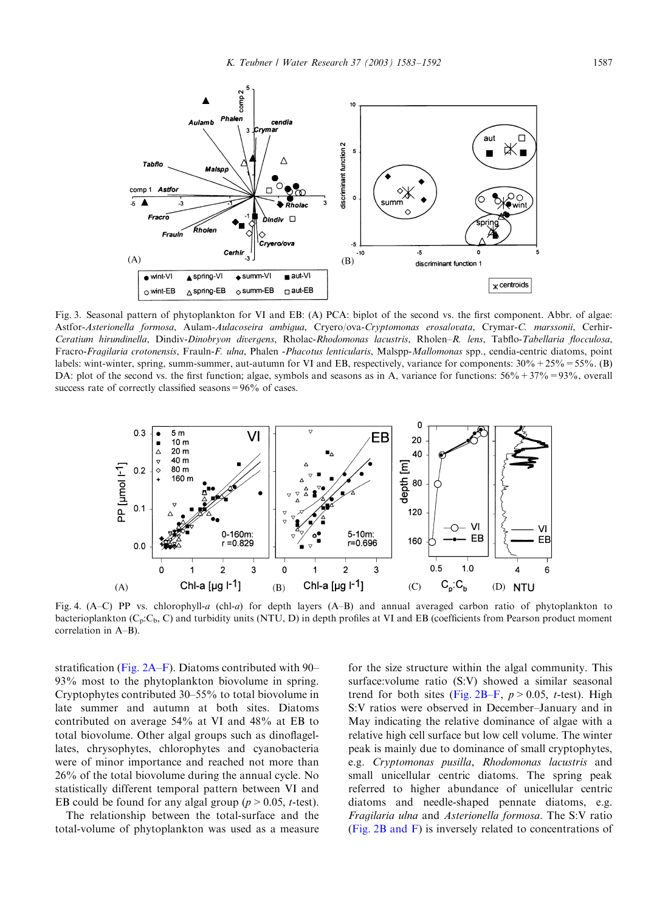<span id="page-4-0"></span>

Fig. 3. Seasonal pattern of phytoplankton for VI and EB: (A) PCA: biplot of the second vs. the first component. Abbr. of algae: Astfor-Asterionella formosa, Aulam-Aulacoseira ambigua, Cryero/ova-Cryptomonas erosa/ovata, Crymar-C. marssonii, Cerhir-Ceratium hirundinella, Dindiv-Dinobryon divergens, Rholac-Rhodomonas lacustris, Rholen–R. lens, Tabflo-Tabellaria flocculosa, Fracro-Fragilaria crotonensis, Frauln-F. ulna, Phalen -Phacotus lenticularis, Malspp-Mallomonas spp., cendia-centric diatoms, point labels: wint-winter, spring, summ-summer, aut-autumn for VI and EB, respectively, variance for components:  $30\% + 25\% = 55\%$ . (B) DA: plot of the second vs. the first function; algae, symbols and seasons as in A, variance for functions:  $56\% + 37\% = 93\%$ , overall success rate of correctly classified seasons=96% of cases.



Fig. 4. (A–C) PP vs. chlorophyll-a (chl-a) for depth layers (A–B) and annual averaged carbon ratio of phytoplankton to bacterioplankton  $(C_p:C_b, C)$  and turbidity units (NTU, D) in depth profiles at VI and EB (coefficients from Pearson product moment correlation in A–B).

stratification ([Fig. 2A–F\)](#page-3-0). Diatoms contributed with 90– 93% most to the phytoplankton biovolume in spring. Cryptophytes contributed 30–55% to total biovolume in late summer and autumn at both sites. Diatoms contributed on average 54% at VI and 48% at EB to total biovolume. Other algal groups such as dinoflagellates, chrysophytes, chlorophytes and cyanobacteria were of minor importance and reached not more than 26% of the total biovolume during the annual cycle. No statistically different temporal pattern between VI and EB could be found for any algal group ( $p > 0.05$ , t-test).

The relationship between the total-surface and the total-volume of phytoplankton was used as a measure

for the size structure within the algal community. This surface:volume ratio (S:V) showed a similar seasonal trend for both sites [\(Fig. 2B–F,](#page-3-0)  $p > 0.05$ , t-test). High S:V ratios were observed in December–January and in May indicating the relative dominance of algae with a relative high cell surface but low cell volume. The winter peak is mainly due to dominance of small cryptophytes, e.g. Cryptomonas pusilla, Rhodomonas lacustris and small unicellular centric diatoms. The spring peak referred to higher abundance of unicellular centric diatoms and needle-shaped pennate diatoms, e.g. Fragilaria ulna and Asterionella formosa. The S:V ratio ([Fig. 2B and F](#page-3-0)) is inversely related to concentrations of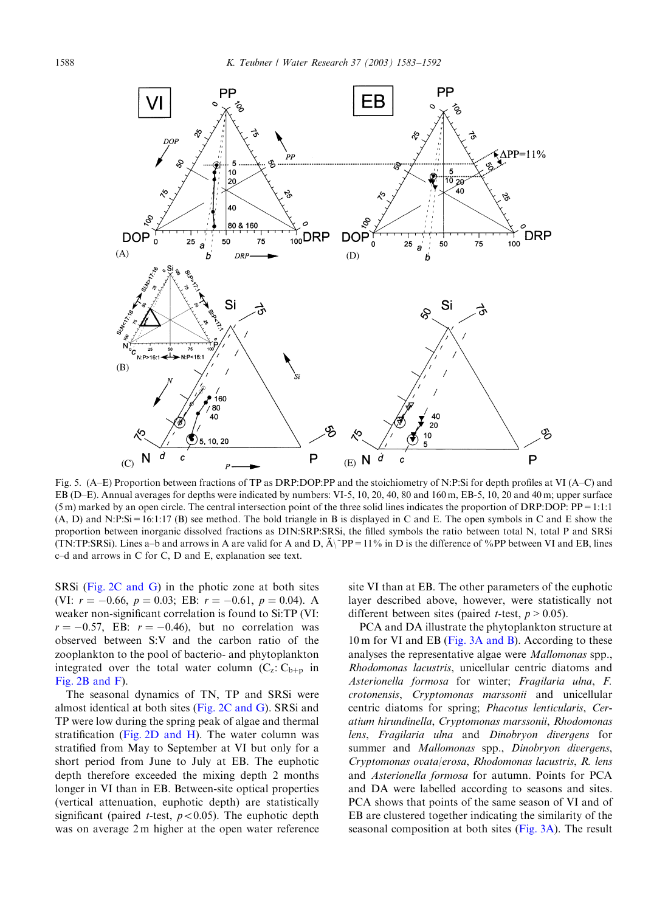<span id="page-5-0"></span>

Fig. 5. (A–E) Proportion between fractions of TP as DRP:DOP:PP and the stoichiometry of N:P:Si for depth profiles at VI (A–C) and EB (D–E). Annual averages for depths were indicated by numbers: VI-5, 10, 20, 40, 80 and 160 m, EB-5, 10, 20 and 40 m; upper surface (5 m) marked by an open circle. The central intersection point of the three solid lines indicates the proportion of DRP:DOP: PP=1:1:1 (A, D) and N:P:Si=16:1:17 (B) see method. The bold triangle in B is displayed in C and E. The open symbols in C and E show the proportion between inorganic dissolved fractions as DIN:SRP:SRSi, the filled symbols the ratio between total N, total P and SRSi (TN:TP:SRSi). Lines a–b and arrows in A are valid for A and D,  $\vec{A}$ , PP=11% in D is the difference of %PP between VI and EB, lines c–d and arrows in C for C, D and E, explanation see text.

SRSi ([Fig. 2C and G](#page-3-0)) in the photic zone at both sites (VI:  $r = -0.66$ ,  $p = 0.03$ ; EB:  $r = -0.61$ ,  $p = 0.04$ ). A weaker non-significant correlation is found to Si:TP (VI:  $r = -0.57$ , EB:  $r = -0.46$ ), but no correlation was observed between S:V and the carbon ratio of the zooplankton to the pool of bacterio- and phytoplankton integrated over the total water column  $(C_z: C_{b+p}$  in [Fig. 2B and F](#page-3-0)).

The seasonal dynamics of TN, TP and SRSi were almost identical at both sites [\(Fig. 2C and G\)](#page-3-0). SRSi and TP were low during the spring peak of algae and thermal stratification [\(Fig. 2D and H](#page-3-0)). The water column was stratified from May to September at VI but only for a short period from June to July at EB. The euphotic depth therefore exceeded the mixing depth 2 months longer in VI than in EB. Between-site optical properties (vertical attenuation, euphotic depth) are statistically significant (paired *t*-test,  $p < 0.05$ ). The euphotic depth was on average 2 m higher at the open water reference

site VI than at EB. The other parameters of the euphotic layer described above, however, were statistically not different between sites (paired *t*-test,  $p > 0.05$ ).

PCA and DA illustrate the phytoplankton structure at 10 m for VI and EB ([Fig. 3A and B](#page-4-0)). According to these analyses the representative algae were Mallomonas spp., Rhodomonas lacustris, unicellular centric diatoms and Asterionella formosa for winter; Fragilaria ulna, F. crotonensis, Cryptomonas marssonii and unicellular centric diatoms for spring; Phacotus lenticularis, Ceratium hirundinella, Cryptomonas marssonii, Rhodomonas lens, Fragilaria ulna and Dinobryon divergens for summer and Mallomonas spp., Dinobryon divergens, Cryptomonas ovata/erosa, Rhodomonas lacustris, R. lens and Asterionella formosa for autumn. Points for PCA and DA were labelled according to seasons and sites. PCA shows that points of the same season of VI and of EB are clustered together indicating the similarity of the seasonal composition at both sites ([Fig. 3A\)](#page-4-0). The result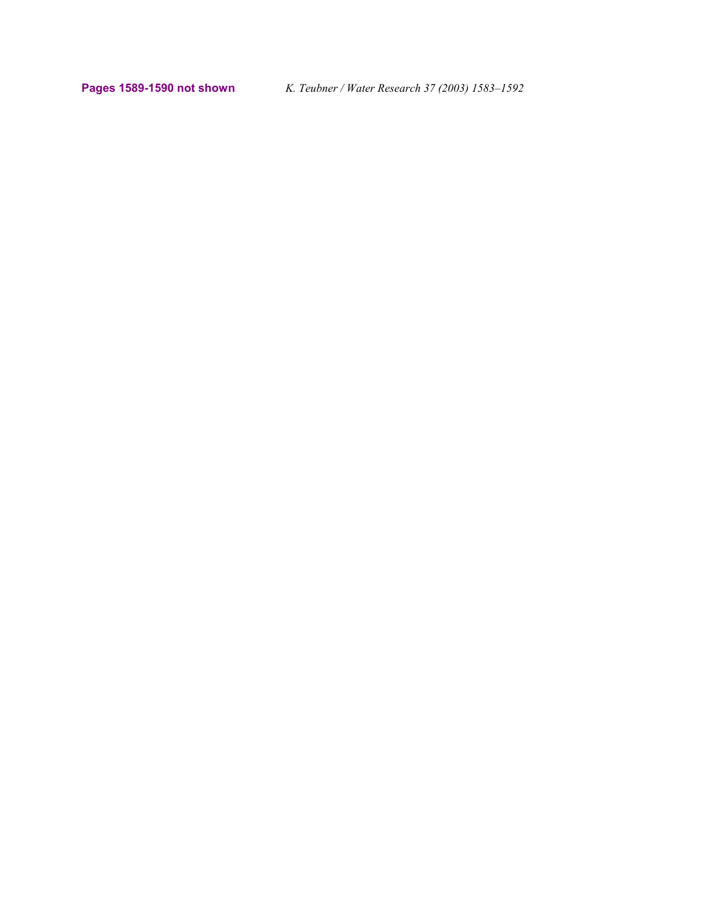**Pages 1589-1590 not shown** *K. Teubner / Water Research 37 (2003) 1583–1592*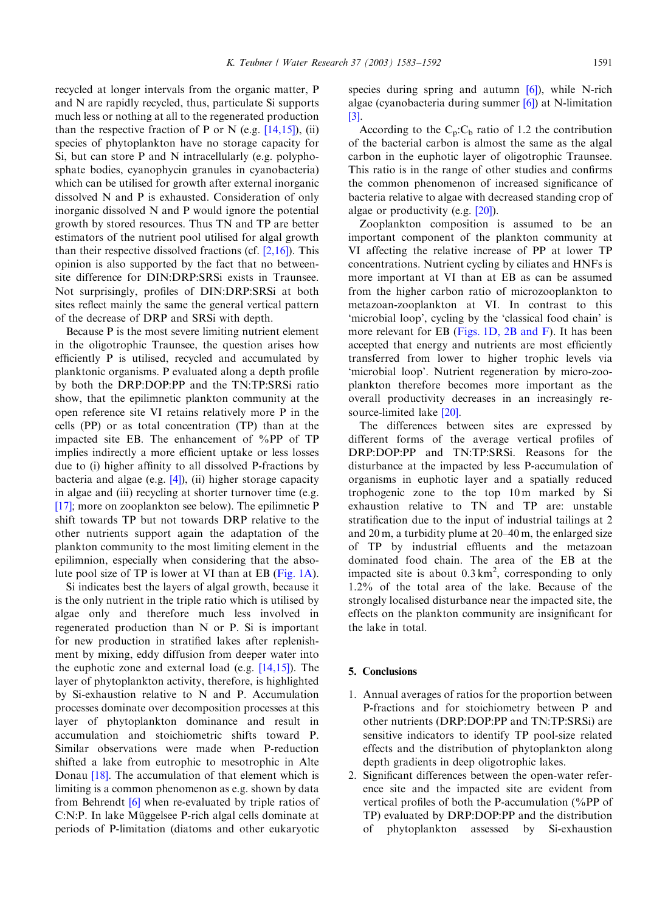recycled at longer intervals from the organic matter, P and N are rapidly recycled, thus, particulate Si supports much less or nothing at all to the regenerated production than the respective fraction of P or N (e.g.  $[14,15]$ ), (ii) species of phytoplankton have no storage capacity for Si, but can store P and N intracellularly (e.g. polyphosphate bodies, cyanophycin granules in cyanobacteria) which can be utilised for growth after external inorganic dissolved N and P is exhausted. Consideration of only inorganic dissolved N and P would ignore the potential growth by stored resources. Thus TN and TP are better estimators of the nutrient pool utilised for algal growth than their respective dissolved fractions (cf.  $[2,16]$ ). This opinion is also supported by the fact that no betweensite difference for DIN:DRP:SRSi exists in Traunsee. Not surprisingly, profiles of DIN:DRP:SRSi at both sites reflect mainly the same the general vertical pattern of the decrease of DRP and SRSi with depth.

Because P is the most severe limiting nutrient element in the oligotrophic Traunsee, the question arises how efficiently P is utilised, recycled and accumulated by planktonic organisms. P evaluated along a depth profile by both the DRP:DOP:PP and the TN:TP:SRSi ratio show, that the epilimnetic plankton community at the open reference site VI retains relatively more P in the cells (PP) or as total concentration (TP) than at the impacted site EB. The enhancement of %PP of TP implies indirectly a more efficient uptake or less losses due to (i) higher affinity to all dissolved P-fractions by bacteria and algae (e.g. [\[4\]\)](#page-8-0), (ii) higher storage capacity in algae and (iii) recycling at shorter turnover time (e.g. [\[17\];](#page-8-0) more on zooplankton see below). The epilimnetic P shift towards TP but not towards DRP relative to the other nutrients support again the adaptation of the plankton community to the most limiting element in the epilimnion, especially when considering that the absolute pool size of TP is lower at VI than at EB ([Fig. 1A\)](#page-3-0).

Si indicates best the layers of algal growth, because it is the only nutrient in the triple ratio which is utilised by algae only and therefore much less involved in regenerated production than N or P. Si is important for new production in stratified lakes after replenishment by mixing, eddy diffusion from deeper water into the euphotic zone and external load (e.g. [\[14,15\]](#page-8-0)). The layer of phytoplankton activity, therefore, is highlighted by Si-exhaustion relative to N and P. Accumulation processes dominate over decomposition processes at this layer of phytoplankton dominance and result in accumulation and stoichiometric shifts toward P. Similar observations were made when P-reduction shifted a lake from eutrophic to mesotrophic in Alte Donau [\[18\]](#page-8-0). The accumulation of that element which is limiting is a common phenomenon as e.g. shown by data from Behrendt [\[6\]](#page-8-0) when re-evaluated by triple ratios of C:N:P. In lake Müggelsee P-rich algal cells dominate at periods of P-limitation (diatoms and other eukaryotic

species during spring and autumn [\[6\]](#page-8-0)), while N-rich algae (cyanobacteria during summer [\[6\]\)](#page-8-0) at N-limitation [\[3\]](#page-8-0).

According to the  $C_p:C_b$  ratio of 1.2 the contribution of the bacterial carbon is almost the same as the algal carbon in the euphotic layer of oligotrophic Traunsee. This ratio is in the range of other studies and confirms the common phenomenon of increased significance of bacteria relative to algae with decreased standing crop of algae or productivity (e.g. [\[20\]](#page-8-0)).

Zooplankton composition is assumed to be an important component of the plankton community at VI affecting the relative increase of PP at lower TP concentrations. Nutrient cycling by ciliates and HNFs is more important at VI than at EB as can be assumed from the higher carbon ratio of microzooplankton to metazoan-zooplankton at VI. In contrast to this 'microbial loop', cycling by the 'classical food chain' is more relevant for EB ([Figs. 1D, 2B and F\)](#page-3-0). It has been accepted that energy and nutrients are most efficiently transferred from lower to higher trophic levels via 'microbial loop'. Nutrient regeneration by micro-zooplankton therefore becomes more important as the overall productivity decreases in an increasingly resource-limited lake [\[20\].](#page-8-0)

The differences between sites are expressed by different forms of the average vertical profiles of DRP:DOP:PP and TN:TP:SRSi. Reasons for the disturbance at the impacted by less P-accumulation of organisms in euphotic layer and a spatially reduced trophogenic zone to the top 10m marked by Si exhaustion relative to TN and TP are: unstable stratification due to the input of industrial tailings at 2 and 20 m, a turbidity plume at 20–40 m, the enlarged size of TP by industrial effluents and the metazoan dominated food chain. The area of the EB at the impacted site is about  $0.3 \text{ km}^2$ , corresponding to only 1.2% of the total area of the lake. Because of the strongly localised disturbance near the impacted site, the effects on the plankton community are insignificant for the lake in total.

### 5. Conclusions

- 1. Annual averages of ratios for the proportion between P-fractions and for stoichiometry between P and other nutrients (DRP:DOP:PP and TN:TP:SRSi) are sensitive indicators to identify TP pool-size related effects and the distribution of phytoplankton along depth gradients in deep oligotrophic lakes.
- 2. Significant differences between the open-water reference site and the impacted site are evident from vertical profiles of both the P-accumulation (%PP of TP) evaluated by DRP:DOP:PP and the distribution of phytoplankton assessed by Si-exhaustion